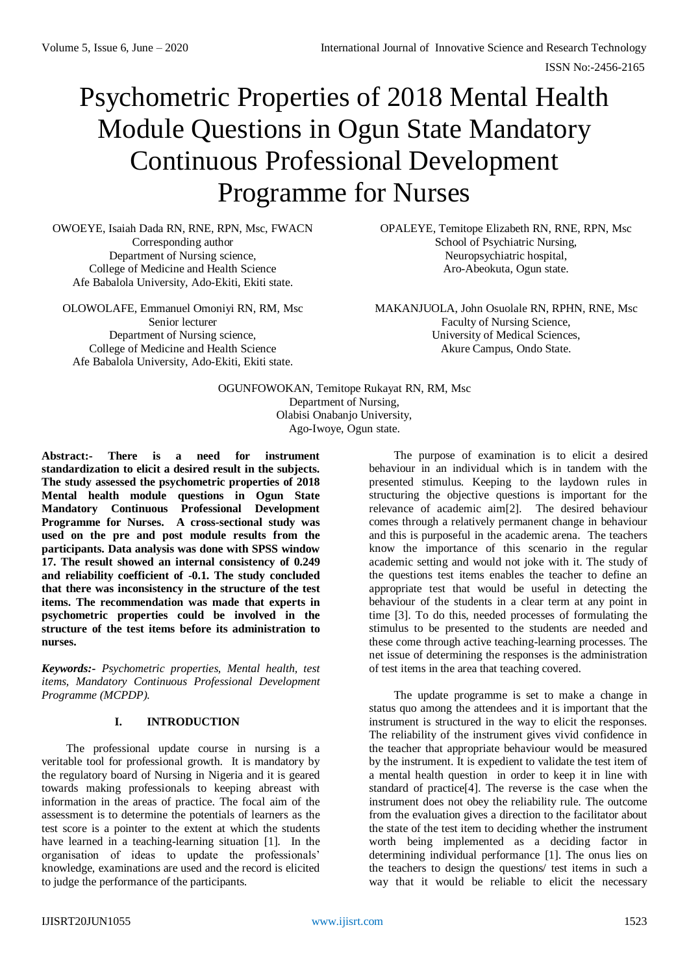ISSN No:-2456-2165

# Psychometric Properties of 2018 Mental Health Module Questions in Ogun State Mandatory Continuous Professional Development Programme for Nurses

OWOEYE, Isaiah Dada RN, RNE, RPN, Msc, FWACN Corresponding author Department of Nursing science, College of Medicine and Health Science Afe Babalola University, Ado-Ekiti, Ekiti state.

OLOWOLAFE, Emmanuel Omoniyi RN, RM, Msc Senior lecturer Department of Nursing science, College of Medicine and Health Science Afe Babalola University, Ado-Ekiti, Ekiti state.

OPALEYE, Temitope Elizabeth RN, RNE, RPN, Msc School of Psychiatric Nursing, Neuropsychiatric hospital, Aro-Abeokuta, Ogun state.

MAKANJUOLA, John Osuolale RN, RPHN, RNE, Msc Faculty of Nursing Science, University of Medical Sciences, Akure Campus, Ondo State.

OGUNFOWOKAN, Temitope Rukayat RN, RM, Msc Department of Nursing, Olabisi Onabanjo University, Ago-Iwoye, Ogun state.

**Abstract:- There is a need for instrument standardization to elicit a desired result in the subjects. The study assessed the psychometric properties of 2018 Mental health module questions in Ogun State Mandatory Continuous Professional Development Programme for Nurses. A cross-sectional study was used on the pre and post module results from the participants. Data analysis was done with SPSS window 17. The result showed an internal consistency of 0.249 and reliability coefficient of -0.1. The study concluded that there was inconsistency in the structure of the test items. The recommendation was made that experts in psychometric properties could be involved in the structure of the test items before its administration to nurses.**

*Keywords:- Psychometric properties, Mental health, test items, Mandatory Continuous Professional Development Programme (MCPDP).*

# **I. INTRODUCTION**

The professional update course in nursing is a veritable tool for professional growth. It is mandatory by the regulatory board of Nursing in Nigeria and it is geared towards making professionals to keeping abreast with information in the areas of practice. The focal aim of the assessment is to determine the potentials of learners as the test score is a pointer to the extent at which the students have learned in a teaching-learning situation [1]. In the organisation of ideas to update the professionals' knowledge, examinations are used and the record is elicited to judge the performance of the participants.

The purpose of examination is to elicit a desired behaviour in an individual which is in tandem with the presented stimulus. Keeping to the laydown rules in structuring the objective questions is important for the relevance of academic aim[2]. The desired behaviour comes through a relatively permanent change in behaviour and this is purposeful in the academic arena. The teachers know the importance of this scenario in the regular academic setting and would not joke with it. The study of the questions test items enables the teacher to define an appropriate test that would be useful in detecting the behaviour of the students in a clear term at any point in time [3]. To do this, needed processes of formulating the stimulus to be presented to the students are needed and these come through active teaching-learning processes. The net issue of determining the responses is the administration of test items in the area that teaching covered.

The update programme is set to make a change in status quo among the attendees and it is important that the instrument is structured in the way to elicit the responses. The reliability of the instrument gives vivid confidence in the teacher that appropriate behaviour would be measured by the instrument. It is expedient to validate the test item of a mental health question in order to keep it in line with standard of practice[4]. The reverse is the case when the instrument does not obey the reliability rule. The outcome from the evaluation gives a direction to the facilitator about the state of the test item to deciding whether the instrument worth being implemented as a deciding factor in determining individual performance [1]. The onus lies on the teachers to design the questions/ test items in such a way that it would be reliable to elicit the necessary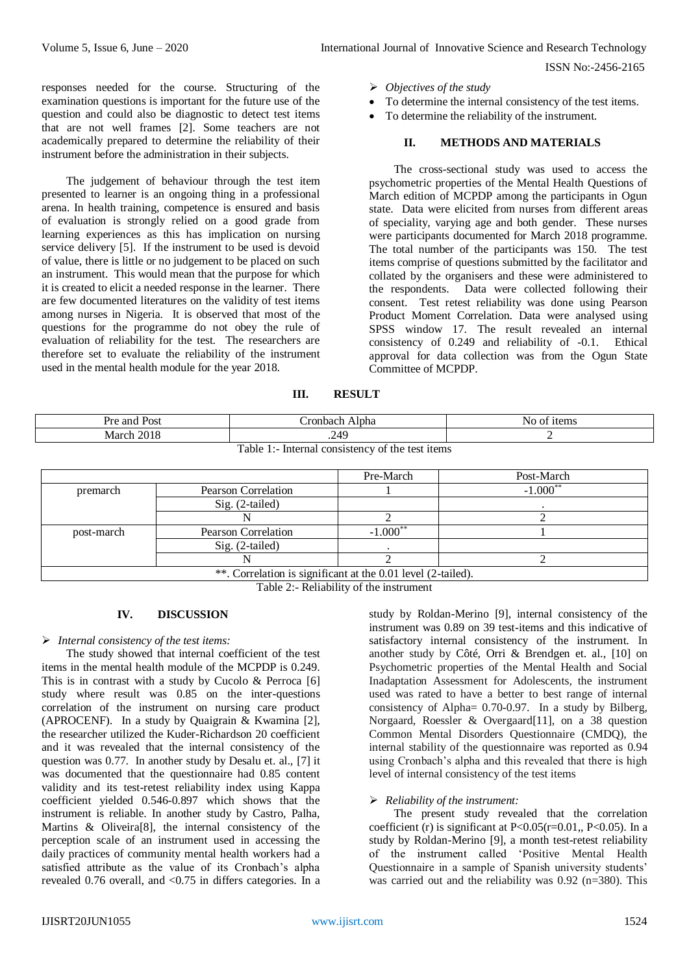ISSN No:-2456-2165

responses needed for the course. Structuring of the examination questions is important for the future use of the question and could also be diagnostic to detect test items that are not well frames [2]. Some teachers are not academically prepared to determine the reliability of their instrument before the administration in their subjects.

The judgement of behaviour through the test item presented to learner is an ongoing thing in a professional arena. In health training, competence is ensured and basis of evaluation is strongly relied on a good grade from learning experiences as this has implication on nursing service delivery [5]. If the instrument to be used is devoid of value, there is little or no judgement to be placed on such an instrument. This would mean that the purpose for which it is created to elicit a needed response in the learner. There are few documented literatures on the validity of test items among nurses in Nigeria. It is observed that most of the questions for the programme do not obey the rule of evaluation of reliability for the test. The researchers are therefore set to evaluate the reliability of the instrument used in the mental health module for the year 2018.

- *Objectives of the study*
- To determine the internal consistency of the test items.
- To determine the reliability of the instrument.

## **II. METHODS AND MATERIALS**

The cross-sectional study was used to access the psychometric properties of the Mental Health Questions of March edition of MCPDP among the participants in Ogun state. Data were elicited from nurses from different areas of speciality, varying age and both gender. These nurses were participants documented for March 2018 programme. The total number of the participants was 150. The test items comprise of questions submitted by the facilitator and collated by the organisers and these were administered to the respondents. Data were collected following their consent. Test retest reliability was done using Pearson Product Moment Correlation. Data were analysed using SPSS window 17. The result revealed an internal consistency of 0.249 and reliability of -0.1. Ethical approval for data collection was from the Ogun State Committee of MCPDP.

**III. RESULT**

| Pre and Post                                      | Alpha<br>∴ronbach | No of items |  |  |
|---------------------------------------------------|-------------------|-------------|--|--|
| March 2018                                        | .249              |             |  |  |
| Table 1<br>Internal consistency of the test items |                   |             |  |  |

|                                                              |                     | Pre-March     | Post-March |  |
|--------------------------------------------------------------|---------------------|---------------|------------|--|
| premarch                                                     | Pearson Correlation |               | $-1.000**$ |  |
|                                                              | Sig. (2-tailed)     |               |            |  |
|                                                              |                     |               |            |  |
| post-march                                                   | Pearson Correlation | $-1.000^{**}$ |            |  |
|                                                              | $Sig. (2-tailed)$   |               |            |  |
|                                                              |                     |               |            |  |
| **. Correlation is significant at the 0.01 level (2-tailed). |                     |               |            |  |

Table 2:- Reliability of the instrument

#### **IV. DISCUSSION**

#### *Internal consistency of the test items:*

The study showed that internal coefficient of the test items in the mental health module of the MCPDP is 0.249. This is in contrast with a study by Cucolo & Perroca [6] study where result was 0.85 on the inter-questions correlation of the instrument on nursing care product (APROCENF). In a study by Quaigrain & Kwamina [2], the researcher utilized the Kuder-Richardson 20 coefficient and it was revealed that the internal consistency of the question was 0.77. In another study by Desalu et. al., [7] it was documented that the questionnaire had 0.85 content validity and its test-retest reliability index using Kappa coefficient yielded 0.546-0.897 which shows that the instrument is reliable. In another study by Castro, Palha, Martins & Oliveira[8], the internal consistency of the perception scale of an instrument used in accessing the daily practices of community mental health workers had a satisfied attribute as the value of its Cronbach's alpha revealed 0.76 overall, and <0.75 in differs categories. In a

study by Roldan-Merino [9], internal consistency of the instrument was 0.89 on 39 test-items and this indicative of satisfactory internal consistency of the instrument. In another study by Côté, Orri & Brendgen et. al., [10] on Psychometric properties of the Mental Health and Social Inadaptation Assessment for Adolescents, the instrument used was rated to have a better to best range of internal consistency of Alpha= 0.70-0.97. In a study by Bilberg, Norgaard, Roessler & Overgaard[11], on a 38 question Common Mental Disorders Questionnaire (CMDQ), the internal stability of the questionnaire was reported as 0.94 using Cronbach's alpha and this revealed that there is high level of internal consistency of the test items

#### *Reliability of the instrument:*

The present study revealed that the correlation coefficient (r) is significant at P<0.05(r=0.01,, P<0.05). In a study by Roldan-Merino [9], a month test-retest reliability of the instrument called 'Positive Mental Health Questionnaire in a sample of Spanish university students' was carried out and the reliability was 0.92 (n=380). This